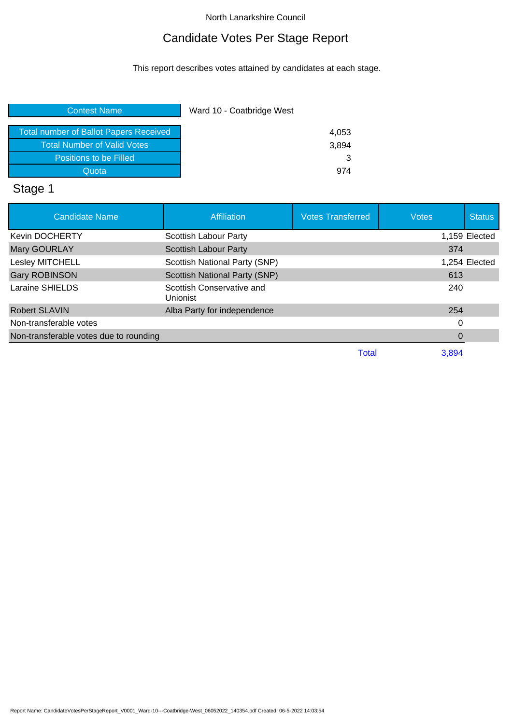# Candidate Votes Per Stage Report

This report describes votes attained by candidates at each stage.

| Ward 10 - Coatbridge West |
|---------------------------|
| 4,053                     |
| 3,894                     |
|                           |
| 974                       |
|                           |

# Stage 1

| <b>Candidate Name</b>                  | <b>Affiliation</b>                    | <b>Votes Transferred</b> | <b>Votes</b> | <b>Status</b> |
|----------------------------------------|---------------------------------------|--------------------------|--------------|---------------|
| <b>Kevin DOCHERTY</b>                  | Scottish Labour Party                 |                          |              | 1,159 Elected |
| <b>Mary GOURLAY</b>                    | <b>Scottish Labour Party</b>          |                          | 374          |               |
| Lesley MITCHELL                        | Scottish National Party (SNP)         |                          |              | 1,254 Elected |
| <b>Gary ROBINSON</b>                   | <b>Scottish National Party (SNP)</b>  |                          | 613          |               |
| Laraine SHIELDS                        | Scottish Conservative and<br>Unionist |                          | 240          |               |
| <b>Robert SLAVIN</b>                   | Alba Party for independence           |                          | 254          |               |
| Non-transferable votes                 |                                       |                          | 0            |               |
| Non-transferable votes due to rounding |                                       |                          | 0            |               |
|                                        |                                       | Total                    | 3.894        |               |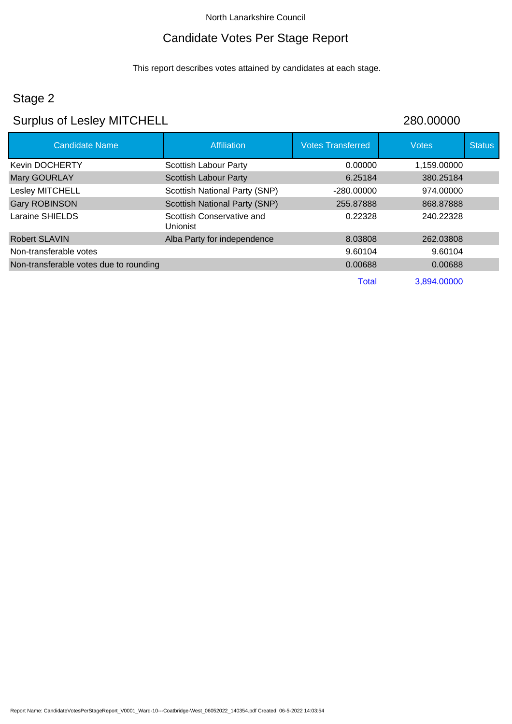### Candidate Votes Per Stage Report

This report describes votes attained by candidates at each stage.

# Stage 2

# Surplus of Lesley MITCHELL 280.00000

| <b>Candidate Name</b>                  | Affiliation                           | <b>Votes Transferred</b> | <b>Votes</b> | <b>Status</b> |
|----------------------------------------|---------------------------------------|--------------------------|--------------|---------------|
| <b>Kevin DOCHERTY</b>                  | Scottish Labour Party                 | 0.00000                  | 1,159.00000  |               |
| Mary GOURLAY                           | <b>Scottish Labour Party</b>          | 6.25184                  | 380.25184    |               |
| Lesley MITCHELL                        | Scottish National Party (SNP)         | $-280.00000$             | 974.00000    |               |
| <b>Gary ROBINSON</b>                   | Scottish National Party (SNP)         | 255.87888                | 868,87888    |               |
| Laraine SHIELDS                        | Scottish Conservative and<br>Unionist | 0.22328                  | 240.22328    |               |
| <b>Robert SLAVIN</b>                   | Alba Party for independence           | 8.03808                  | 262.03808    |               |
| Non-transferable votes                 |                                       | 9.60104                  | 9.60104      |               |
| Non-transferable votes due to rounding |                                       | 0.00688                  | 0.00688      |               |
|                                        |                                       | <b>Total</b>             | 3,894.00000  |               |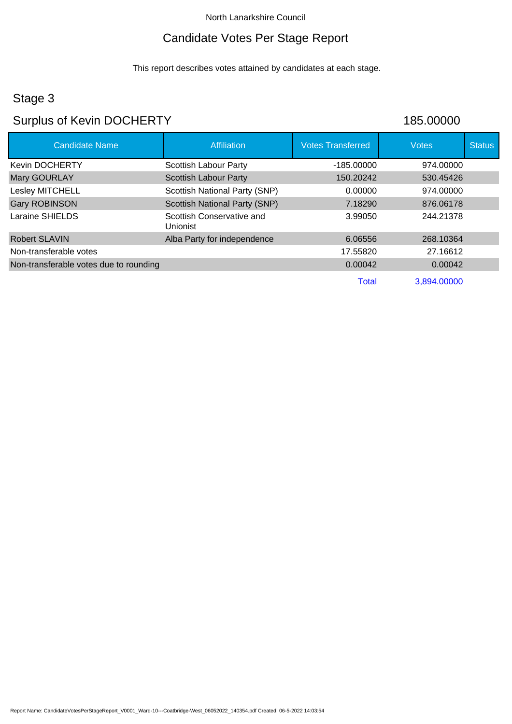## Candidate Votes Per Stage Report

This report describes votes attained by candidates at each stage.

# Stage 3

# Surplus of Kevin DOCHERTY **185.00000**

| <b>Candidate Name</b>                  | <b>Affiliation</b>                           | <b>Votes Transferred</b> | <b>Votes</b> | <b>Status</b> |
|----------------------------------------|----------------------------------------------|--------------------------|--------------|---------------|
| <b>Kevin DOCHERTY</b>                  | <b>Scottish Labour Party</b>                 | $-185.00000$             | 974.00000    |               |
| Mary GOURLAY                           | <b>Scottish Labour Party</b>                 | 150.20242                | 530.45426    |               |
| Lesley MITCHELL                        | Scottish National Party (SNP)                | 0.00000                  | 974.00000    |               |
| <b>Gary ROBINSON</b>                   | Scottish National Party (SNP)                | 7.18290                  | 876.06178    |               |
| Laraine SHIELDS                        | Scottish Conservative and<br><b>Unionist</b> | 3.99050                  | 244.21378    |               |
| <b>Robert SLAVIN</b>                   | Alba Party for independence                  | 6.06556                  | 268.10364    |               |
| Non-transferable votes                 |                                              | 17.55820                 | 27.16612     |               |
| Non-transferable votes due to rounding |                                              | 0.00042                  | 0.00042      |               |
|                                        |                                              | Total                    | 3.894.00000  |               |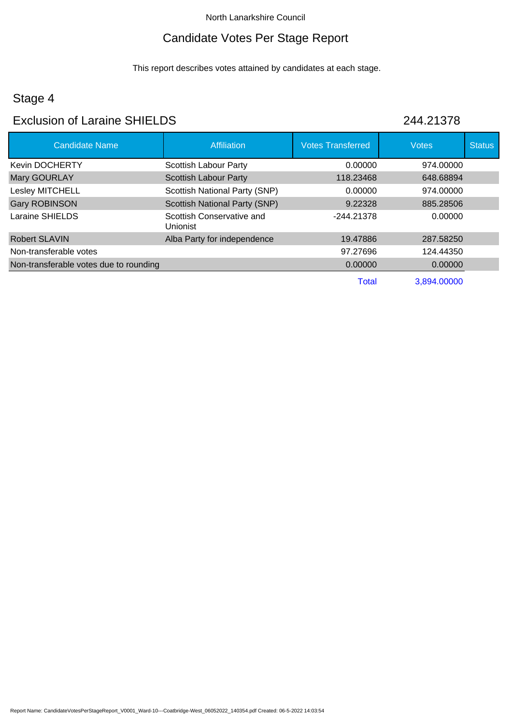# Candidate Votes Per Stage Report

This report describes votes attained by candidates at each stage.

## Stage 4

# Exclusion of Laraine SHIELDS 244.21378

| <b>Candidate Name</b>                  | Affiliation                                  | <b>Votes Transferred</b> | <b>Votes</b> | <b>Status</b> |
|----------------------------------------|----------------------------------------------|--------------------------|--------------|---------------|
| <b>Kevin DOCHERTY</b>                  | Scottish Labour Party                        | 0.00000                  | 974.00000    |               |
| Mary GOURLAY                           | <b>Scottish Labour Party</b>                 | 118.23468                | 648.68894    |               |
| Lesley MITCHELL                        | Scottish National Party (SNP)                | 0.00000                  | 974.00000    |               |
| <b>Gary ROBINSON</b>                   | Scottish National Party (SNP)                | 9.22328                  | 885.28506    |               |
| Laraine SHIELDS                        | Scottish Conservative and<br><b>Unionist</b> | -244.21378               | 0.00000      |               |
| <b>Robert SLAVIN</b>                   | Alba Party for independence                  | 19.47886                 | 287.58250    |               |
| Non-transferable votes                 |                                              | 97.27696                 | 124.44350    |               |
| Non-transferable votes due to rounding |                                              | 0.00000                  | 0.00000      |               |
|                                        |                                              | Total                    | 3,894.00000  |               |